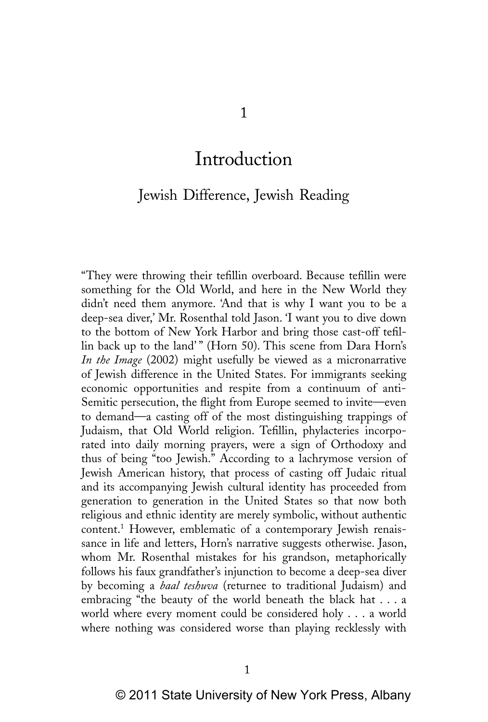# Jewish Difference, Jewish Reading

"They were throwing their tefillin overboard. Because tefillin were something for the Old World, and here in the New World they didn't need them anymore. 'And that is why I want you to be a deep-sea diver,' Mr. Rosenthal told Jason. 'I want you to dive down to the bottom of New York Harbor and bring those cast-off tefillin back up to the land'" (Horn 50). This scene from Dara Horn's *In the Image* (2002) might usefully be viewed as a micronarrative of Jewish difference in the United States. For immigrants seeking economic opportunities and respite from a continuum of anti-Semitic persecution, the flight from Europe seemed to invite—even to demand—a casting off of the most distinguishing trappings of Judaism, that Old World religion. Tefillin, phylacteries incorporated into daily morning prayers, were a sign of Orthodoxy and thus of being "too Jewish." According to a lachrymose version of Jewish American history, that process of casting off Judaic ritual and its accompanying Jewish cultural identity has proceeded from generation to generation in the United States so that now both religious and ethnic identity are merely symbolic, without authentic content.<sup>1</sup> However, emblematic of a contemporary Jewish renaissance in life and letters, Horn's narrative suggests otherwise. Jason, whom Mr. Rosenthal mistakes for his grandson, metaphorically follows his faux grandfather's injunction to become a deep-sea diver by becoming a *baal teshuva* (returnee to traditional Judaism) and embracing "the beauty of the world beneath the black hat . . . a world where every moment could be considered holy . . . a world where nothing was considered worse than playing recklessly with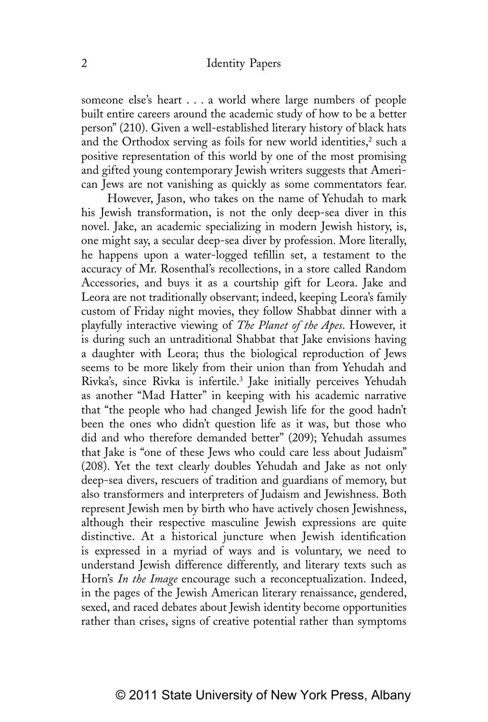#### 2 Identity Papers

someone else's heart . . . a world where large numbers of people built entire careers around the academic study of how to be a better person" (210). Given a well-established literary history of black hats and the Orthodox serving as foils for new world identities,<sup>2</sup> such a positive representation of this world by one of the most promising and gifted young contemporary Jewish writers suggests that American Jews are not vanishing as quickly as some commentators fear.

However, Jason, who takes on the name of Yehudah to mark his Jewish transformation, is not the only deep-sea diver in this novel. Jake, an academic specializing in modern Jewish history, is, one might say, a secular deep-sea diver by profession. More literally, he happens upon a water-logged tefillin set, a testament to the accuracy of Mr. Rosenthal's recollections, in a store called Random Accessories, and buys it as a courtship gift for Leora. Jake and Leora are not traditionally observant; indeed, keeping Leora's family custom of Friday night movies, they follow Shabbat dinner with a playfully interactive viewing of *The Planet of the Apes*. However, it is during such an untraditional Shabbat that Jake envisions having a daughter with Leora; thus the biological reproduction of Jews seems to be more likely from their union than from Yehudah and Rivka's, since Rivka is infertile.<sup>3</sup> Jake initially perceives Yehudah as another "Mad Hatter" in keeping with his academic narrative that "the people who had changed Jewish life for the good hadn't been the ones who didn't question life as it was, but those who did and who therefore demanded better" (209); Yehudah assumes that Jake is "one of these Jews who could care less about Judaism" (208). Yet the text clearly doubles Yehudah and Jake as not only deep-sea divers, rescuers of tradition and guardians of memory, but also transformers and interpreters of Judaism and Jewishness. Both represent Jewish men by birth who have actively chosen Jewishness, although their respective masculine Jewish expressions are quite distinctive. At a historical juncture when Jewish identification is expressed in a myriad of ways and is voluntary, we need to understand Jewish difference differently, and literary texts such as Horn's *In the Image* encourage such a reconceptualization. Indeed, in the pages of the Jewish American literary renaissance, gendered, sexed, and raced debates about Jewish identity become opportunities rather than crises, signs of creative potential rather than symptoms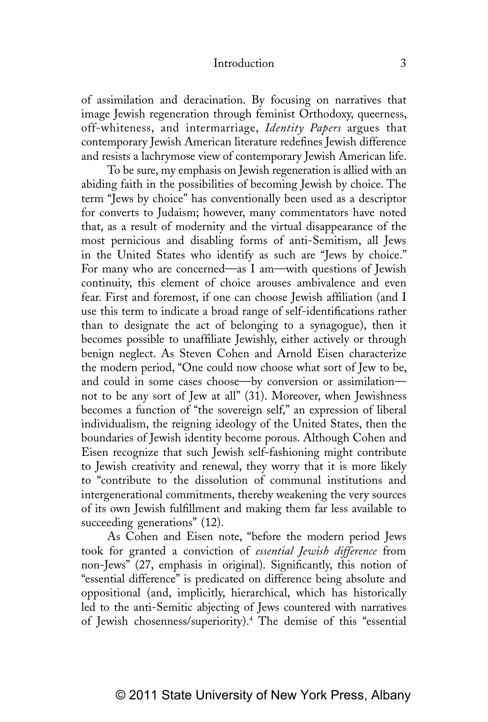of assimilation and deracination. By focusing on narratives that image Jewish regeneration through feminist Orthodoxy, queerness, off-whiteness, and intermarriage, *Identity Papers* argues that contemporary Jewish American literature redefines Jewish difference and resists a lachrymose view of contemporary Jewish American life.

To be sure, my emphasis on Jewish regeneration is allied with an abiding faith in the possibilities of becoming Jewish by choice. The term "Jews by choice" has conventionally been used as a descriptor for converts to Judaism; however, many commentators have noted that, as a result of modernity and the virtual disappearance of the most pernicious and disabling forms of anti-Semitism, all Jews in the United States who identify as such are "Jews by choice." For many who are concerned—as I am—with questions of Jewish continuity, this element of choice arouses ambivalence and even fear. First and foremost, if one can choose Jewish affiliation (and I use this term to indicate a broad range of self-identifications rather than to designate the act of belonging to a synagogue), then it becomes possible to unaffiliate Jewishly, either actively or through benign neglect. As Steven Cohen and Arnold Eisen characterize the modern period, "One could now choose what sort of Jew to be, and could in some cases choose—by conversion or assimilation not to be any sort of Jew at all" (31). Moreover, when Jewishness becomes a function of "the sovereign self," an expression of liberal individualism, the reigning ideology of the United States, then the boundaries of Jewish identity become porous. Although Cohen and Eisen recognize that such Jewish self-fashioning might contribute to Jewish creativity and renewal, they worry that it is more likely to "contribute to the dissolution of communal institutions and intergenerational commitments, thereby weakening the very sources of its own Jewish fulfillment and making them far less available to succeeding generations" (12).

As Cohen and Eisen note, "before the modern period Jews took for granted a conviction of *essential Jewish difference* from non-Jews" (27, emphasis in original). Significantly, this notion of "essential difference" is predicated on difference being absolute and oppositional (and, implicitly, hierarchical, which has historically led to the anti-Semitic abjecting of Jews countered with narratives of Jewish chosenness/superiority).4 The demise of this "essential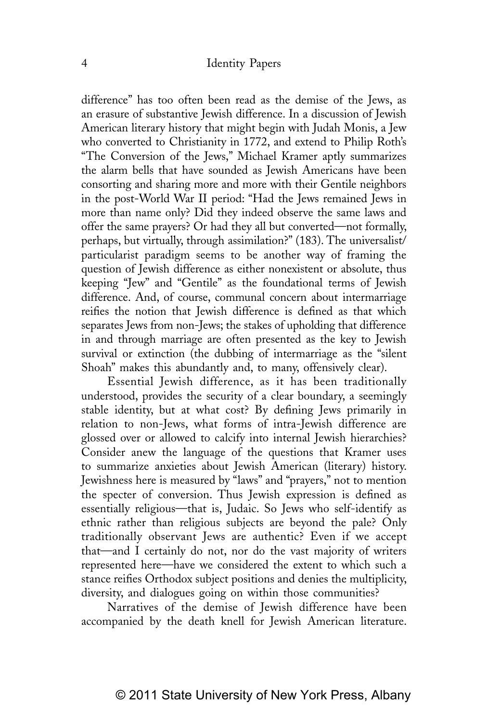difference" has too often been read as the demise of the Jews, as an erasure of substantive Jewish difference. In a discussion of Jewish American literary history that might begin with Judah Monis, a Jew who converted to Christianity in 1772, and extend to Philip Roth's "The Conversion of the Jews," Michael Kramer aptly summarizes the alarm bells that have sounded as Jewish Americans have been consorting and sharing more and more with their Gentile neighbors in the post-World War II period: "Had the Jews remained Jews in more than name only? Did they indeed observe the same laws and offer the same prayers? Or had they all but converted—not formally, perhaps, but virtually, through assimilation?" (183). The universalist/ particularist paradigm seems to be another way of framing the question of Jewish difference as either nonexistent or absolute, thus keeping "Jew" and "Gentile" as the foundational terms of Jewish difference. And, of course, communal concern about intermarriage reifies the notion that Jewish difference is defined as that which separates Jews from non-Jews; the stakes of upholding that difference in and through marriage are often presented as the key to Jewish survival or extinction (the dubbing of intermarriage as the "silent Shoah" makes this abundantly and, to many, offensively clear).

Essential Jewish difference, as it has been traditionally understood, provides the security of a clear boundary, a seemingly stable identity, but at what cost? By defining Jews primarily in relation to non-Jews, what forms of intra-Jewish difference are glossed over or allowed to calcify into internal Jewish hierarchies? Consider anew the language of the questions that Kramer uses to summarize anxieties about Jewish American (literary) history. Jewishness here is measured by "laws" and "prayers," not to mention the specter of conversion. Thus Jewish expression is defined as essentially religious—that is, Judaic. So Jews who self-identify as ethnic rather than religious subjects are beyond the pale? Only traditionally observant Jews are authentic? Even if we accept that—and I certainly do not, nor do the vast majority of writers represented here—have we considered the extent to which such a stance reifies Orthodox subject positions and denies the multiplicity, diversity, and dialogues going on within those communities?

Narratives of the demise of Jewish difference have been accompanied by the death knell for Jewish American literature.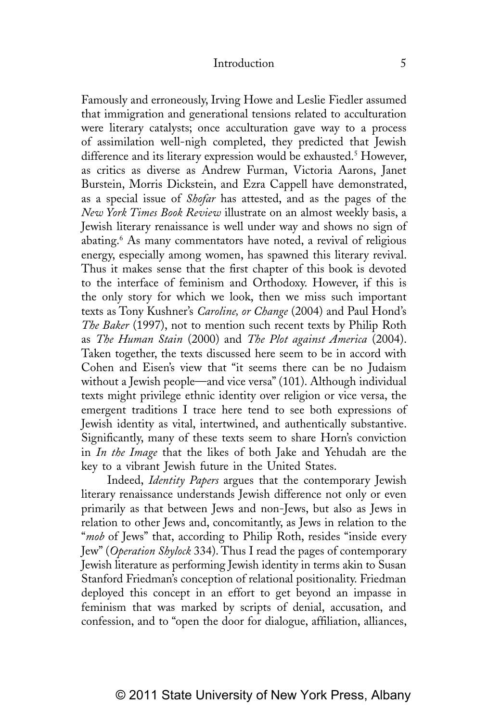Famously and erroneously, Irving Howe and Leslie Fiedler assumed that immigration and generational tensions related to acculturation were literary catalysts; once acculturation gave way to a process of assimilation well-nigh completed, they predicted that Jewish difference and its literary expression would be exhausted.<sup>5</sup> However, as critics as diverse as Andrew Furman, Victoria Aarons, Janet Burstein, Morris Dickstein, and Ezra Cappell have demonstrated, as a special issue of *Shofar* has attested, and as the pages of the *New York Times Book Review* illustrate on an almost weekly basis, a Jewish literary renaissance is well under way and shows no sign of abating.6 As many commentators have noted, a revival of religious energy, especially among women, has spawned this literary revival. Thus it makes sense that the first chapter of this book is devoted to the interface of feminism and Orthodoxy. However, if this is the only story for which we look, then we miss such important texts as Tony Kushner's *Caroline, or Change* (2004) and Paul Hond's *The Baker* (1997), not to mention such recent texts by Philip Roth as *The Human Stain* (2000) and *The Plot against America* (2004). Taken together, the texts discussed here seem to be in accord with Cohen and Eisen's view that "it seems there can be no Judaism without a Jewish people—and vice versa" (101). Although individual texts might privilege ethnic identity over religion or vice versa, the emergent traditions I trace here tend to see both expressions of Jewish identity as vital, intertwined, and authentically substantive. Significantly, many of these texts seem to share Horn's conviction in *In the Image* that the likes of both Jake and Yehudah are the key to a vibrant Jewish future in the United States.

Indeed, *Identity Papers* argues that the contemporary Jewish literary renaissance understands Jewish difference not only or even primarily as that between Jews and non-Jews, but also as Jews in relation to other Jews and, concomitantly, as Jews in relation to the "*mob* of Jews" that, according to Philip Roth, resides "inside every Jew" (*Operation Shylock* 334). Thus I read the pages of contemporary Jewish literature as performing Jewish identity in terms akin to Susan Stanford Friedman's conception of relational positionality. Friedman deployed this concept in an effort to get beyond an impasse in feminism that was marked by scripts of denial, accusation, and confession, and to "open the door for dialogue, affiliation, alliances,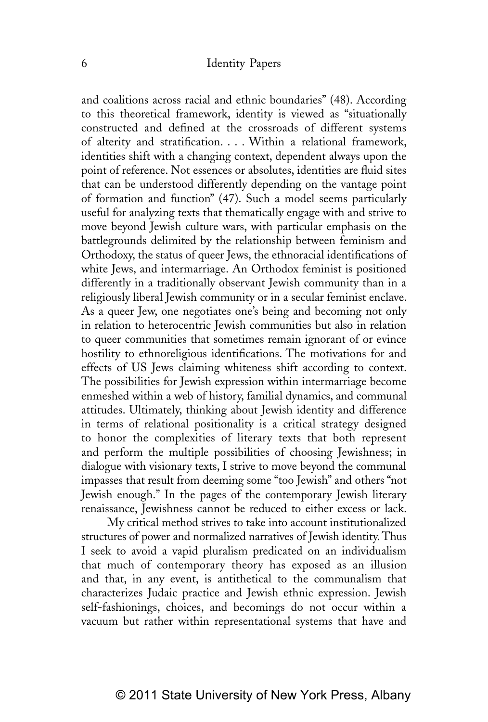and coalitions across racial and ethnic boundaries" (48). According to this theoretical framework, identity is viewed as "situationally constructed and defined at the crossroads of different systems of alterity and stratification. . . . Within a relational framework, identities shift with a changing context, dependent always upon the point of reference. Not essences or absolutes, identities are fluid sites that can be understood differently depending on the vantage point of formation and function" (47). Such a model seems particularly useful for analyzing texts that thematically engage with and strive to move beyond Jewish culture wars, with particular emphasis on the battlegrounds delimited by the relationship between feminism and Orthodoxy, the status of queer Jews, the ethnoracial identifications of white Jews, and intermarriage. An Orthodox feminist is positioned differently in a traditionally observant Jewish community than in a religiously liberal Jewish community or in a secular feminist enclave. As a queer Jew, one negotiates one's being and becoming not only in relation to heterocentric Jewish communities but also in relation to queer communities that sometimes remain ignorant of or evince hostility to ethnoreligious identifications. The motivations for and effects of US Jews claiming whiteness shift according to context. The possibilities for Jewish expression within intermarriage become enmeshed within a web of history, familial dynamics, and communal attitudes. Ultimately, thinking about Jewish identity and difference in terms of relational positionality is a critical strategy designed to honor the complexities of literary texts that both represent and perform the multiple possibilities of choosing Jewishness; in dialogue with visionary texts, I strive to move beyond the communal impasses that result from deeming some "too Jewish" and others "not Jewish enough." In the pages of the contemporary Jewish literary renaissance, Jewishness cannot be reduced to either excess or lack.

My critical method strives to take into account institutionalized structures of power and normalized narratives of Jewish identity. Thus I seek to avoid a vapid pluralism predicated on an individualism that much of contemporary theory has exposed as an illusion and that, in any event, is antithetical to the communalism that characterizes Judaic practice and Jewish ethnic expression. Jewish self-fashionings, choices, and becomings do not occur within a vacuum but rather within representational systems that have and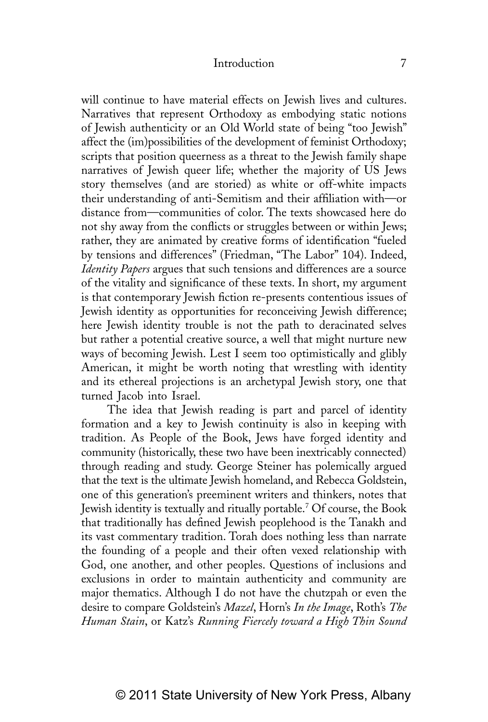will continue to have material effects on Jewish lives and cultures. Narratives that represent Orthodoxy as embodying static notions of Jewish authenticity or an Old World state of being "too Jewish" affect the (im)possibilities of the development of feminist Orthodoxy; scripts that position queerness as a threat to the Jewish family shape narratives of Jewish queer life; whether the majority of US Jews story themselves (and are storied) as white or off-white impacts their understanding of anti-Semitism and their affiliation with—or distance from—communities of color. The texts showcased here do not shy away from the conflicts or struggles between or within Jews; rather, they are animated by creative forms of identification "fueled by tensions and differences" (Friedman, "The Labor" 104). Indeed, *Identity Papers* argues that such tensions and differences are a source of the vitality and significance of these texts. In short, my argument is that contemporary Jewish fiction re-presents contentious issues of Jewish identity as opportunities for reconceiving Jewish difference; here Jewish identity trouble is not the path to deracinated selves but rather a potential creative source, a well that might nurture new ways of becoming Jewish. Lest I seem too optimistically and glibly American, it might be worth noting that wrestling with identity and its ethereal projections is an archetypal Jewish story, one that turned Jacob into Israel.

The idea that Jewish reading is part and parcel of identity formation and a key to Jewish continuity is also in keeping with tradition. As People of the Book, Jews have forged identity and community (historically, these two have been inextricably connected) through reading and study. George Steiner has polemically argued that the text is the ultimate Jewish homeland, and Rebecca Goldstein, one of this generation's preeminent writers and thinkers, notes that Jewish identity is textually and ritually portable.7 Of course, the Book that traditionally has defined Jewish peoplehood is the Tanakh and its vast commentary tradition. Torah does nothing less than narrate the founding of a people and their often vexed relationship with God, one another, and other peoples. Questions of inclusions and exclusions in order to maintain authenticity and community are major thematics. Although I do not have the chutzpah or even the desire to compare Goldstein's *Mazel*, Horn's *In the Image*, Roth's *The Human Stain*, or Katz's *Running Fiercely toward a High Thin Sound*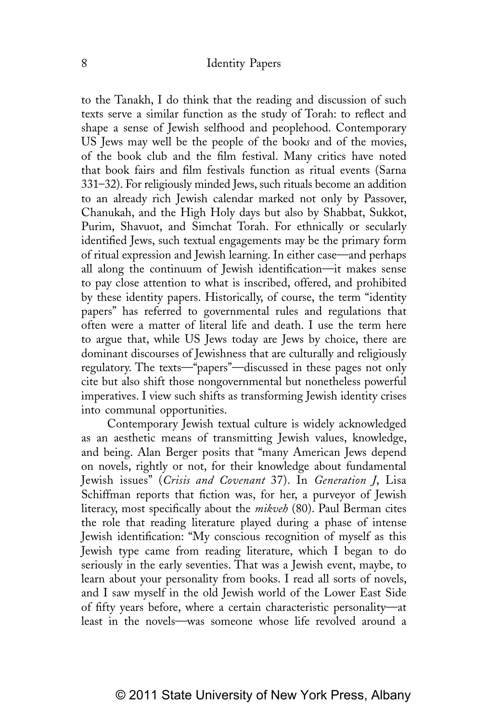#### 8 Identity Papers

to the Tanakh, I do think that the reading and discussion of such texts serve a similar function as the study of Torah: to reflect and shape a sense of Jewish selfhood and peoplehood. Contemporary US Jews may well be the people of the book*s* and of the movies, of the book club and the film festival. Many critics have noted that book fairs and film festivals function as ritual events (Sarna 331–32). For religiously minded Jews, such rituals become an addition to an already rich Jewish calendar marked not only by Passover, Chanukah, and the High Holy days but also by Shabbat, Sukkot, Purim, Shavuot, and Simchat Torah. For ethnically or secularly identified Jews, such textual engagements may be the primary form of ritual expression and Jewish learning. In either case—and perhaps all along the continuum of Jewish identification—it makes sense to pay close attention to what is inscribed, offered, and prohibited by these identity papers. Historically, of course, the term "identity papers" has referred to governmental rules and regulations that often were a matter of literal life and death. I use the term here to argue that, while US Jews today are Jews by choice, there are dominant discourses of Jewishness that are culturally and religiously regulatory. The texts—"papers"—discussed in these pages not only cite but also shift those nongovernmental but nonetheless powerful imperatives. I view such shifts as transforming Jewish identity crises into communal opportunities.

Contemporary Jewish textual culture is widely acknowledged as an aesthetic means of transmitting Jewish values, knowledge, and being. Alan Berger posits that "many American Jews depend on novels, rightly or not, for their knowledge about fundamental Jewish issues" (*Crisis and Covenant* 37). In *Generation J*, Lisa Schiffman reports that fiction was, for her, a purveyor of Jewish literacy, most specifically about the *mikveh* (80). Paul Berman cites the role that reading literature played during a phase of intense Jewish identification: "My conscious recognition of myself as this Jewish type came from reading literature, which I began to do seriously in the early seventies. That was a Jewish event, maybe, to learn about your personality from books. I read all sorts of novels, and I saw myself in the old Jewish world of the Lower East Side of fifty years before, where a certain characteristic personality—at least in the novels—was someone whose life revolved around a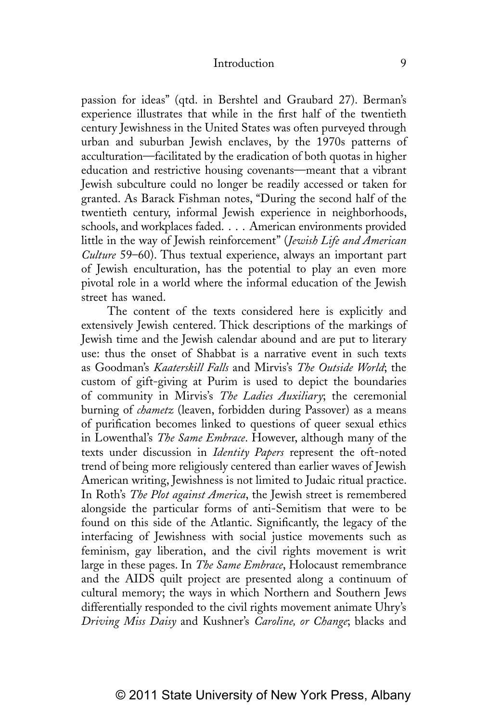passion for ideas" (qtd. in Bershtel and Graubard 27). Berman's experience illustrates that while in the first half of the twentieth century Jewishness in the United States was often purveyed through urban and suburban Jewish enclaves, by the 1970s patterns of acculturation—facilitated by the eradication of both quotas in higher education and restrictive housing covenants—meant that a vibrant Jewish subculture could no longer be readily accessed or taken for granted. As Barack Fishman notes, "During the second half of the twentieth century, informal Jewish experience in neighborhoods, schools, and workplaces faded. . . . American environments provided little in the way of Jewish reinforcement" (*Jewish Life and American Culture* 59–60). Thus textual experience, always an important part of Jewish enculturation, has the potential to play an even more pivotal role in a world where the informal education of the Jewish street has waned.

The content of the texts considered here is explicitly and extensively Jewish centered. Thick descriptions of the markings of Jewish time and the Jewish calendar abound and are put to literary use: thus the onset of Shabbat is a narrative event in such texts as Goodman's *Kaaterskill Falls* and Mirvis's *The Outside World*; the custom of gift-giving at Purim is used to depict the boundaries of community in Mirvis's *The Ladies Auxiliary*; the ceremonial burning of *chametz* (leaven, forbidden during Passover) as a means of purification becomes linked to questions of queer sexual ethics in Lowenthal's *The Same Embrace*. However, although many of the texts under discussion in *Identity Papers* represent the oft-noted trend of being more religiously centered than earlier waves of Jewish American writing, Jewishness is not limited to Judaic ritual practice. In Roth's *The Plot against America*, the Jewish street is remembered alongside the particular forms of anti-Semitism that were to be found on this side of the Atlantic. Significantly, the legacy of the interfacing of Jewishness with social justice movements such as feminism, gay liberation, and the civil rights movement is writ large in these pages. In *The Same Embrace*, Holocaust remembrance and the AIDS quilt project are presented along a continuum of cultural memory; the ways in which Northern and Southern Jews differentially responded to the civil rights movement animate Uhry's *Driving Miss Daisy* and Kushner's *Caroline, or Change*; blacks and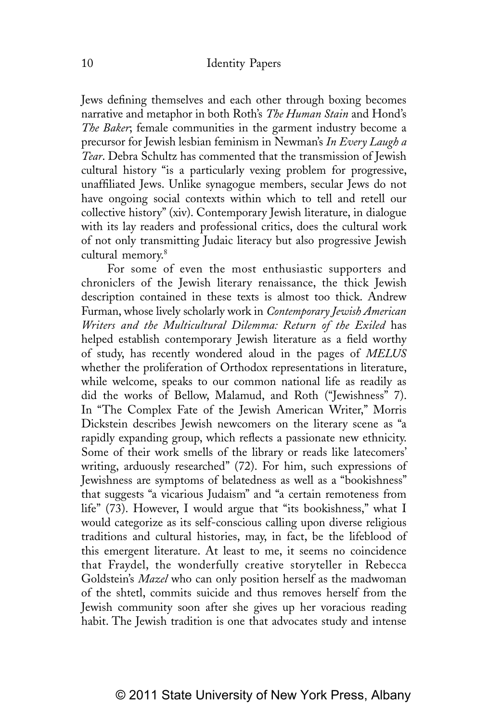Jews defining themselves and each other through boxing becomes narrative and metaphor in both Roth's *The Human Stain* and Hond's *The Baker*; female communities in the garment industry become a precursor for Jewish lesbian feminism in Newman's *In Every Laugh a Tear*. Debra Schultz has commented that the transmission of Jewish cultural history "is a particularly vexing problem for progressive, unaffiliated Jews. Unlike synagogue members, secular Jews do not have ongoing social contexts within which to tell and retell our collective history" (xiv). Contemporary Jewish literature, in dialogue with its lay readers and professional critics, does the cultural work of not only transmitting Judaic literacy but also progressive Jewish cultural memory.<sup>8</sup>

For some of even the most enthusiastic supporters and chroniclers of the Jewish literary renaissance, the thick Jewish description contained in these texts is almost too thick. Andrew Furman, whose lively scholarly work in *Contemporary Jewish American Writers and the Multicultural Dilemma: Return of the Exiled* has helped establish contemporary Jewish literature as a field worthy of study, has recently wondered aloud in the pages of *MELUS*  whether the proliferation of Orthodox representations in literature, while welcome, speaks to our common national life as readily as did the works of Bellow, Malamud, and Roth ("Jewishness" 7). In "The Complex Fate of the Jewish American Writer," Morris Dickstein describes Jewish newcomers on the literary scene as "a rapidly expanding group, which reflects a passionate new ethnicity. Some of their work smells of the library or reads like latecomers' writing, arduously researched" (72). For him, such expressions of Jewishness are symptoms of belatedness as well as a "bookishness" that suggests "a vicarious Judaism" and "a certain remoteness from life" (73). However, I would argue that "its bookishness," what I would categorize as its self-conscious calling upon diverse religious traditions and cultural histories, may, in fact, be the lifeblood of this emergent literature. At least to me, it seems no coincidence that Fraydel, the wonderfully creative storyteller in Rebecca Goldstein's *Mazel* who can only position herself as the madwoman of the shtetl, commits suicide and thus removes herself from the Jewish community soon after she gives up her voracious reading habit. The Jewish tradition is one that advocates study and intense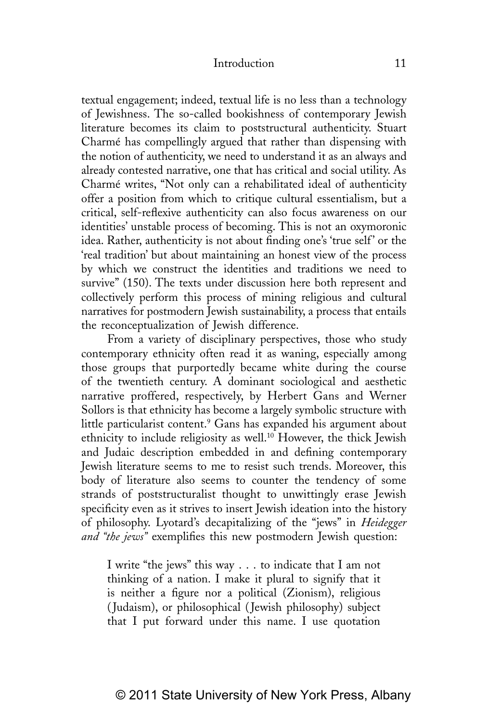textual engagement; indeed, textual life is no less than a technology of Jewishness. The so-called bookishness of contemporary Jewish literature becomes its claim to poststructural authenticity. Stuart Charmé has compellingly argued that rather than dispensing with the notion of authenticity, we need to understand it as an always and already contested narrative, one that has critical and social utility. As Charmé writes, "Not only can a rehabilitated ideal of authenticity offer a position from which to critique cultural essentialism, but a critical, self-reflexive authenticity can also focus awareness on our identities' unstable process of becoming. This is not an oxymoronic idea. Rather, authenticity is not about finding one's 'true self' or the 'real tradition' but about maintaining an honest view of the process by which we construct the identities and traditions we need to survive" (150). The texts under discussion here both represent and collectively perform this process of mining religious and cultural narratives for postmodern Jewish sustainability, a process that entails the reconceptualization of Jewish difference.

From a variety of disciplinary perspectives, those who study contemporary ethnicity often read it as waning, especially among those groups that purportedly became white during the course of the twentieth century. A dominant sociological and aesthetic narrative proffered, respectively, by Herbert Gans and Werner Sollors is that ethnicity has become a largely symbolic structure with little particularist content.9 Gans has expanded his argument about ethnicity to include religiosity as well.<sup>10</sup> However, the thick Jewish and Judaic description embedded in and defining contemporary Jewish literature seems to me to resist such trends. Moreover, this body of literature also seems to counter the tendency of some strands of poststructuralist thought to unwittingly erase Jewish specificity even as it strives to insert Jewish ideation into the history of philosophy. Lyotard's decapitalizing of the "jews" in *Heidegger and "the jews"* exemplifies this new postmodern Jewish question:

I write "the jews" this way . . . to indicate that I am not thinking of a nation. I make it plural to signify that it is neither a figure nor a political (Zionism), religious ( Judaism), or philosophical ( Jewish philosophy) subject that I put forward under this name. I use quotation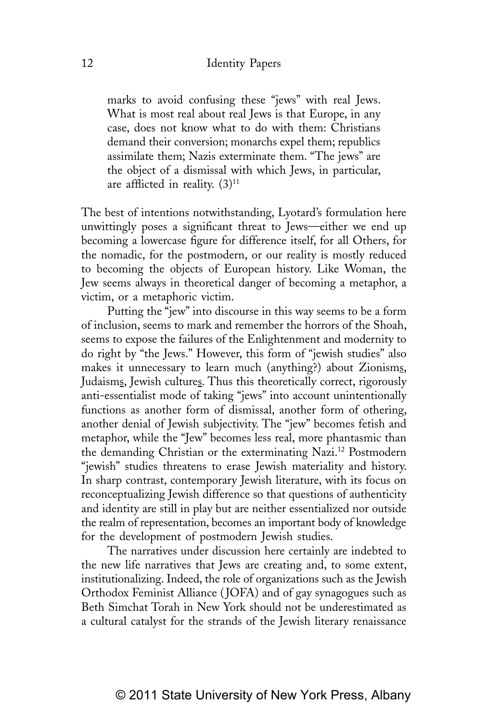## 12 Identity Papers

marks to avoid confusing these "jews" with real Jews. What is most real about real Jews is that Europe, in any case, does not know what to do with them: Christians demand their conversion; monarchs expel them; republics assimilate them; Nazis exterminate them. "The jews" are the object of a dismissal with which Jews, in particular, are afflicted in reality.  $(3)^{11}$ 

The best of intentions notwithstanding, Lyotard's formulation here unwittingly poses a significant threat to Jews—either we end up becoming a lowercase figure for difference itself, for all Others, for the nomadic, for the postmodern, or our reality is mostly reduced to becoming the objects of European history. Like Woman, the Jew seems always in theoretical danger of becoming a metaphor, a victim, or a metaphoric victim.

Putting the "jew" into discourse in this way seems to be a form of inclusion, seems to mark and remember the horrors of the Shoah, seems to expose the failures of the Enlightenment and modernity to do right by "the Jews." However, this form of "jewish studies" also makes it unnecessary to learn much (anything?) about Zionisms, Judaisms, Jewish cultures. Thus this theoretically correct, rigorously anti-essentialist mode of taking "jews" into account unintentionally functions as another form of dismissal, another form of othering, another denial of Jewish subjectivity. The "jew" becomes fetish and metaphor, while the "Jew" becomes less real, more phantasmic than the demanding Christian or the exterminating Nazi.12 Postmodern "jewish" studies threatens to erase Jewish materiality and history. In sharp contrast, contemporary Jewish literature, with its focus on reconceptualizing Jewish difference so that questions of authenticity and identity are still in play but are neither essentialized nor outside the realm of representation, becomes an important body of knowledge for the development of postmodern Jewish studies.

The narratives under discussion here certainly are indebted to the new life narratives that Jews are creating and, to some extent, institutionalizing. Indeed, the role of organizations such as the Jewish Orthodox Feminist Alliance ( JOFA) and of gay synagogues such as Beth Simchat Torah in New York should not be underestimated as a cultural catalyst for the strands of the Jewish literary renaissance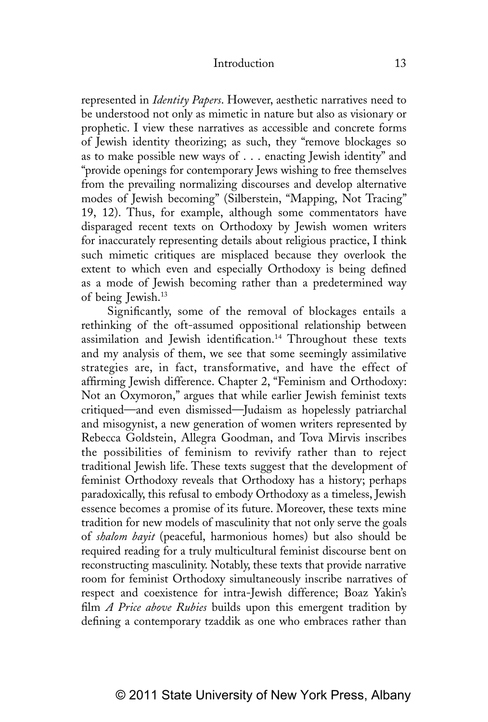represented in *Identity Papers*. However, aesthetic narratives need to be understood not only as mimetic in nature but also as visionary or prophetic. I view these narratives as accessible and concrete forms of Jewish identity theorizing; as such, they "remove blockages so as to make possible new ways of . . . enacting Jewish identity" and "provide openings for contemporary Jews wishing to free themselves from the prevailing normalizing discourses and develop alternative modes of Jewish becoming" (Silberstein, "Mapping, Not Tracing" 19, 12). Thus, for example, although some commentators have disparaged recent texts on Orthodoxy by Jewish women writers for inaccurately representing details about religious practice, I think such mimetic critiques are misplaced because they overlook the extent to which even and especially Orthodoxy is being defined as a mode of Jewish becoming rather than a predetermined way of being Jewish.13

Significantly, some of the removal of blockages entails a rethinking of the oft-assumed oppositional relationship between assimilation and Jewish identification.<sup>14</sup> Throughout these texts and my analysis of them, we see that some seemingly assimilative strategies are, in fact, transformative, and have the effect of affirming Jewish difference. Chapter 2, "Feminism and Orthodoxy: Not an Oxymoron," argues that while earlier Jewish feminist texts critiqued—and even dismissed—Judaism as hopelessly patriarchal and misogynist, a new generation of women writers represented by Rebecca Goldstein, Allegra Goodman, and Tova Mirvis inscribes the possibilities of feminism to revivify rather than to reject traditional Jewish life. These texts suggest that the development of feminist Orthodoxy reveals that Orthodoxy has a history; perhaps paradoxically, this refusal to embody Orthodoxy as a timeless, Jewish essence becomes a promise of its future. Moreover, these texts mine tradition for new models of masculinity that not only serve the goals of *shalom bayit* (peaceful, harmonious homes) but also should be required reading for a truly multicultural feminist discourse bent on reconstructing masculinity. Notably, these texts that provide narrative room for feminist Orthodoxy simultaneously inscribe narratives of respect and coexistence for intra-Jewish difference; Boaz Yakin's film *A Price above Rubies* builds upon this emergent tradition by defining a contemporary tzaddik as one who embraces rather than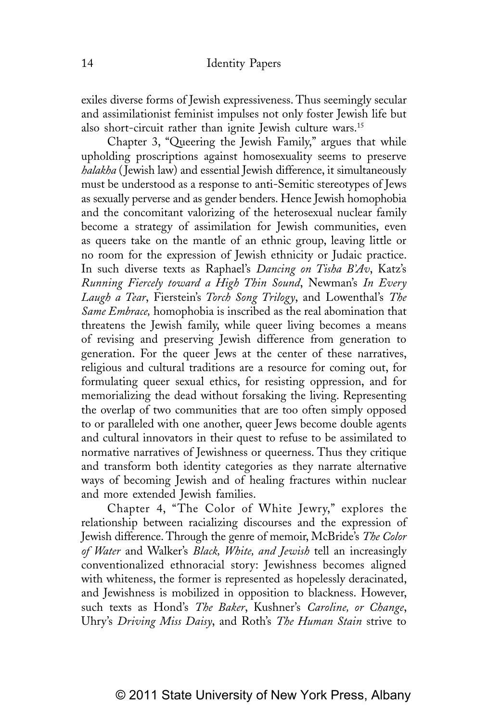exiles diverse forms of Jewish expressiveness. Thus seemingly secular and assimilationist feminist impulses not only foster Jewish life but also short-circuit rather than ignite Jewish culture wars.15

Chapter 3, "Queering the Jewish Family," argues that while upholding proscriptions against homosexuality seems to preserve *halakha* (Jewish law) and essential Jewish difference, it simultaneously must be understood as a response to anti-Semitic stereotypes of Jews as sexually perverse and as gender benders. Hence Jewish homophobia and the concomitant valorizing of the heterosexual nuclear family become a strategy of assimilation for Jewish communities, even as queers take on the mantle of an ethnic group, leaving little or no room for the expression of Jewish ethnicity or Judaic practice. In such diverse texts as Raphael's *Dancing on Tisha B'Av*, Katz's *Running Fiercely toward a High Thin Sound*, Newman's *In Every Laugh a Tear*, Fierstein's *Torch Song Trilogy*, and Lowenthal's *The Same Embrace,* homophobia is inscribed as the real abomination that threatens the Jewish family, while queer living becomes a means of revising and preserving Jewish difference from generation to generation. For the queer Jews at the center of these narratives, religious and cultural traditions are a resource for coming out, for formulating queer sexual ethics, for resisting oppression, and for memorializing the dead without forsaking the living. Representing the overlap of two communities that are too often simply opposed to or paralleled with one another, queer Jews become double agents and cultural innovators in their quest to refuse to be assimilated to normative narratives of Jewishness or queerness. Thus they critique and transform both identity categories as they narrate alternative ways of becoming Jewish and of healing fractures within nuclear and more extended Jewish families.

Chapter 4, "The Color of White Jewry," explores the relationship between racializing discourses and the expression of Jewish difference. Through the genre of memoir, McBride's *The Color of Water* and Walker's *Black, White, and Jewish* tell an increasingly conventionalized ethnoracial story: Jewishness becomes aligned with whiteness, the former is represented as hopelessly deracinated, and Jewishness is mobilized in opposition to blackness. However, such texts as Hond's *The Baker*, Kushner's *Caroline, or Change*, Uhry's *Driving Miss Daisy*, and Roth's *The Human Stain* strive to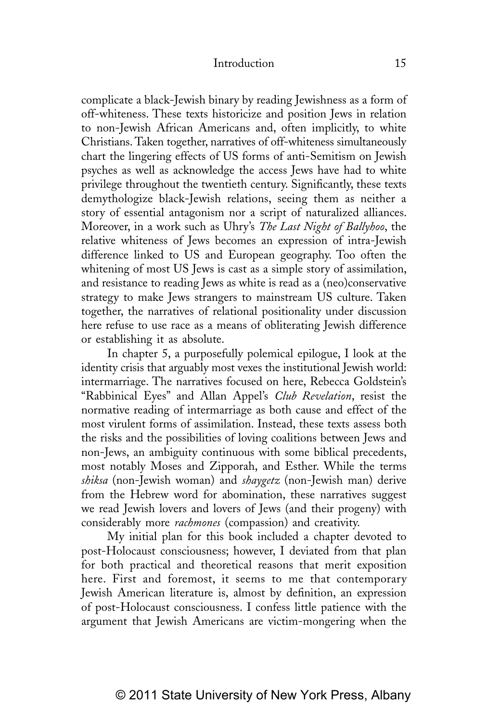complicate a black-Jewish binary by reading Jewishness as a form of off-whiteness. These texts historicize and position Jews in relation to non-Jewish African Americans and, often implicitly, to white Christians. Taken together, narratives of off-whiteness simultaneously chart the lingering effects of US forms of anti-Semitism on Jewish psyches as well as acknowledge the access Jews have had to white privilege throughout the twentieth century. Significantly, these texts demythologize black-Jewish relations, seeing them as neither a story of essential antagonism nor a script of naturalized alliances. Moreover, in a work such as Uhry's *The Last Night of Ballyhoo*, the relative whiteness of Jews becomes an expression of intra-Jewish difference linked to US and European geography. Too often the whitening of most US Jews is cast as a simple story of assimilation, and resistance to reading Jews as white is read as a (neo)conservative strategy to make Jews strangers to mainstream US culture. Taken together, the narratives of relational positionality under discussion here refuse to use race as a means of obliterating Jewish difference or establishing it as absolute.

In chapter 5, a purposefully polemical epilogue, I look at the identity crisis that arguably most vexes the institutional Jewish world: intermarriage. The narratives focused on here, Rebecca Goldstein's "Rabbinical Eyes" and Allan Appel's *Club Revelation*, resist the normative reading of intermarriage as both cause and effect of the most virulent forms of assimilation. Instead, these texts assess both the risks and the possibilities of loving coalitions between Jews and non-Jews, an ambiguity continuous with some biblical precedents, most notably Moses and Zipporah, and Esther. While the terms *shiksa* (non-Jewish woman) and *shaygetz* (non-Jewish man) derive from the Hebrew word for abomination, these narratives suggest we read Jewish lovers and lovers of Jews (and their progeny) with considerably more *rachmones* (compassion) and creativity.

My initial plan for this book included a chapter devoted to post-Holocaust consciousness; however, I deviated from that plan for both practical and theoretical reasons that merit exposition here. First and foremost, it seems to me that contemporary Jewish American literature is, almost by definition, an expression of post-Holocaust consciousness. I confess little patience with the argument that Jewish Americans are victim-mongering when the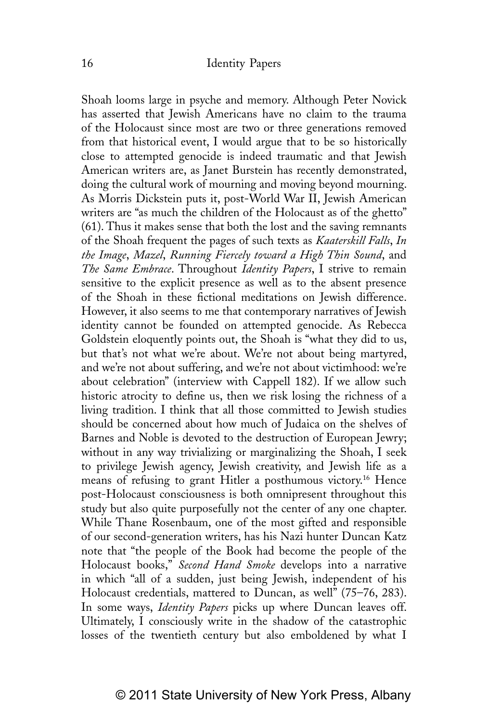Shoah looms large in psyche and memory. Although Peter Novick has asserted that Jewish Americans have no claim to the trauma of the Holocaust since most are two or three generations removed from that historical event, I would argue that to be so historically close to attempted genocide is indeed traumatic and that Jewish American writers are, as Janet Burstein has recently demonstrated, doing the cultural work of mourning and moving beyond mourning. As Morris Dickstein puts it, post-World War II, Jewish American writers are "as much the children of the Holocaust as of the ghetto" (61). Thus it makes sense that both the lost and the saving remnants of the Shoah frequent the pages of such texts as *Kaaterskill Falls*, *In the Image*, *Mazel*, *Running Fiercely toward a High Thin Sound*, and *The Same Embrace*. Throughout *Identity Papers*, I strive to remain sensitive to the explicit presence as well as to the absent presence of the Shoah in these fictional meditations on Jewish difference. However, it also seems to me that contemporary narratives of Jewish identity cannot be founded on attempted genocide. As Rebecca Goldstein eloquently points out, the Shoah is "what they did to us, but that's not what we're about. We're not about being martyred, and we're not about suffering, and we're not about victimhood: we're about celebration" (interview with Cappell 182). If we allow such historic atrocity to define us, then we risk losing the richness of a living tradition. I think that all those committed to Jewish studies should be concerned about how much of Judaica on the shelves of Barnes and Noble is devoted to the destruction of European Jewry; without in any way trivializing or marginalizing the Shoah, I seek to privilege Jewish agency, Jewish creativity, and Jewish life as a means of refusing to grant Hitler a posthumous victory.<sup>16</sup> Hence post-Holocaust consciousness is both omnipresent throughout this study but also quite purposefully not the center of any one chapter. While Thane Rosenbaum, one of the most gifted and responsible of our second-generation writers, has his Nazi hunter Duncan Katz note that "the people of the Book had become the people of the Holocaust books," *Second Hand Smoke* develops into a narrative in which "all of a sudden, just being Jewish, independent of his Holocaust credentials, mattered to Duncan, as well" (75–76, 283). In some ways, *Identity Papers* picks up where Duncan leaves off. Ultimately, I consciously write in the shadow of the catastrophic losses of the twentieth century but also emboldened by what I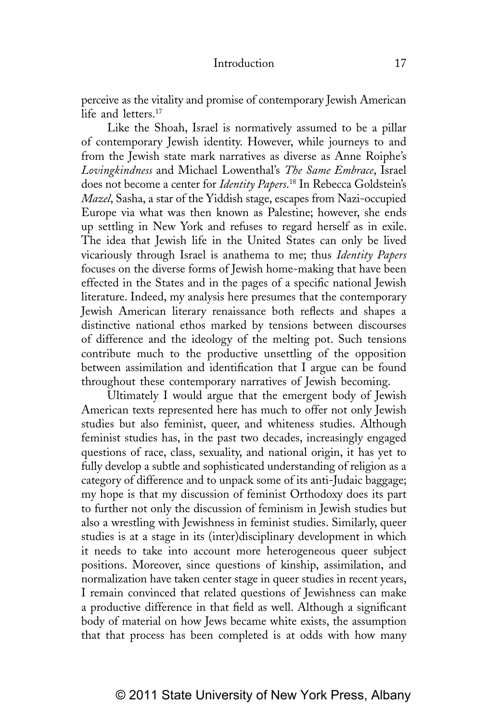perceive as the vitality and promise of contemporary Jewish American life and letters.<sup>17</sup>

Like the Shoah, Israel is normatively assumed to be a pillar of contemporary Jewish identity. However, while journeys to and from the Jewish state mark narratives as diverse as Anne Roiphe's *Lovingkindness* and Michael Lowenthal's *The Same Embrace*, Israel does not become a center for *Identity Papers*. 18 In Rebecca Goldstein's *Mazel*, Sasha, a star of the Yiddish stage, escapes from Nazi-occupied Europe via what was then known as Palestine; however, she ends up settling in New York and refuses to regard herself as in exile. The idea that Jewish life in the United States can only be lived vicariously through Israel is anathema to me; thus *Identity Papers*  focuses on the diverse forms of Jewish home-making that have been effected in the States and in the pages of a specific national Jewish literature. Indeed, my analysis here presumes that the contemporary Jewish American literary renaissance both reflects and shapes a distinctive national ethos marked by tensions between discourses of difference and the ideology of the melting pot. Such tensions contribute much to the productive unsettling of the opposition between assimilation and identification that I argue can be found throughout these contemporary narratives of Jewish becoming.

Ultimately I would argue that the emergent body of Jewish American texts represented here has much to offer not only Jewish studies but also feminist, queer, and whiteness studies. Although feminist studies has, in the past two decades, increasingly engaged questions of race, class, sexuality, and national origin, it has yet to fully develop a subtle and sophisticated understanding of religion as a category of difference and to unpack some of its anti-Judaic baggage; my hope is that my discussion of feminist Orthodoxy does its part to further not only the discussion of feminism in Jewish studies but also a wrestling with Jewishness in feminist studies. Similarly, queer studies is at a stage in its (inter)disciplinary development in which it needs to take into account more heterogeneous queer subject positions. Moreover, since questions of kinship, assimilation, and normalization have taken center stage in queer studies in recent years, I remain convinced that related questions of Jewishness can make a productive difference in that field as well. Although a significant body of material on how Jews became white exists, the assumption that that process has been completed is at odds with how many